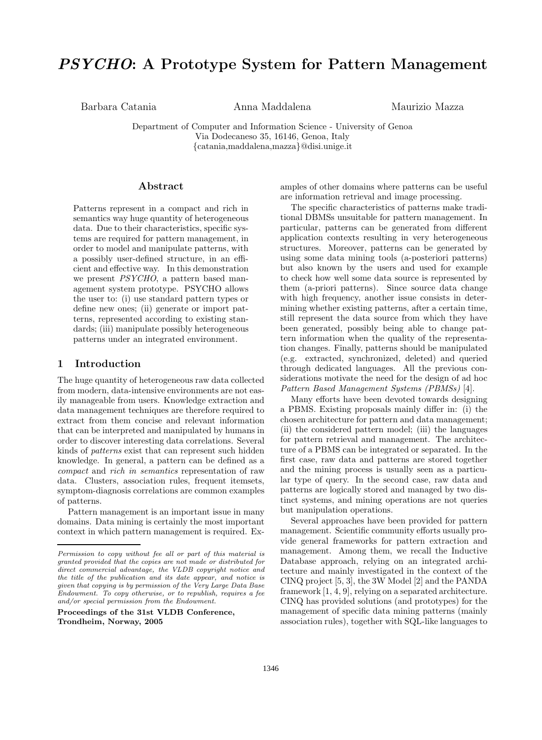# *PSYCHO***: A Prototype System for Pattern Management**

Barbara Catania Anna Maddalena Maurizio Mazza

Department of Computer and Information Science - University of Genoa Via Dodecaneso 35, 16146, Genoa, Italy *{*catania,maddalena,mazza*}*@disi.unige.it

### **Abstract**

Patterns represent in a compact and rich in semantics way huge quantity of heterogeneous data. Due to their characteristics, specific systems are required for pattern management, in order to model and manipulate patterns, with a possibly user-defined structure, in an efficient and effective way. In this demonstration we present *PSYCHO*, a pattern based management system prototype. PSYCHO allows the user to: (i) use standard pattern types or define new ones; (ii) generate or import patterns, represented according to existing standards; (iii) manipulate possibly heterogeneous patterns under an integrated environment.

## **1 Introduction**

The huge quantity of heterogeneous raw data collected from modern, data-intensive environments are not easily manageable from users. Knowledge extraction and data management techniques are therefore required to extract from them concise and relevant information that can be interpreted and manipulated by humans in order to discover interesting data correlations. Several kinds of *patterns* exist that can represent such hidden knowledge. In general, a pattern can be defined as a *compact* and *rich in semantics* representation of raw data. Clusters, association rules, frequent itemsets, symptom-diagnosis correlations are common examples of patterns.

Pattern management is an important issue in many domains. Data mining is certainly the most important context in which pattern management is required. Ex-

**Proceedings of the 31st VLDB Conference, Trondheim, Norway, 2005**

amples of other domains where patterns can be useful are information retrieval and image processing.

The specific characteristics of patterns make traditional DBMSs unsuitable for pattern management. In particular, patterns can be generated from different application contexts resulting in very heterogeneous structures. Moreover, patterns can be generated by using some data mining tools (a-posteriori patterns) but also known by the users and used for example to check how well some data source is represented by them (a-priori patterns). Since source data change with high frequency, another issue consists in determining whether existing patterns, after a certain time, still represent the data source from which they have been generated, possibly being able to change pattern information when the quality of the representation changes. Finally, patterns should be manipulated (e.g. extracted, synchronized, deleted) and queried through dedicated languages. All the previous considerations motivate the need for the design of ad hoc *Pattern Based Management Systems (PBMSs)* [4].

Many efforts have been devoted towards designing a PBMS. Existing proposals mainly differ in: (i) the chosen architecture for pattern and data management; (ii) the considered pattern model; (iii) the languages for pattern retrieval and management. The architecture of a PBMS can be integrated or separated. In the first case, raw data and patterns are stored together and the mining process is usually seen as a particular type of query. In the second case, raw data and patterns are logically stored and managed by two distinct systems, and mining operations are not queries but manipulation operations.

Several approaches have been provided for pattern management. Scientific community efforts usually provide general frameworks for pattern extraction and management. Among them, we recall the Inductive Database approach, relying on an integrated architecture and mainly investigated in the context of the CINQ project [5, 3], the 3W Model [2] and the PANDA framework [1, 4, 9], relying on a separated architecture. CINQ has provided solutions (and prototypes) for the management of specific data mining patterns (mainly association rules), together with SQL-like languages to

*Permission to copy without fee all or part of this material is granted provided that the copies are not made or distributed for direct commercial advantage, the VLDB copyright notice and the title of the publication and its date appear, and notice is given that copying is by permission of the Very Large Data Base Endowment. To copy otherwise, or to republish, requires a fee and/or special permission from the Endowment.*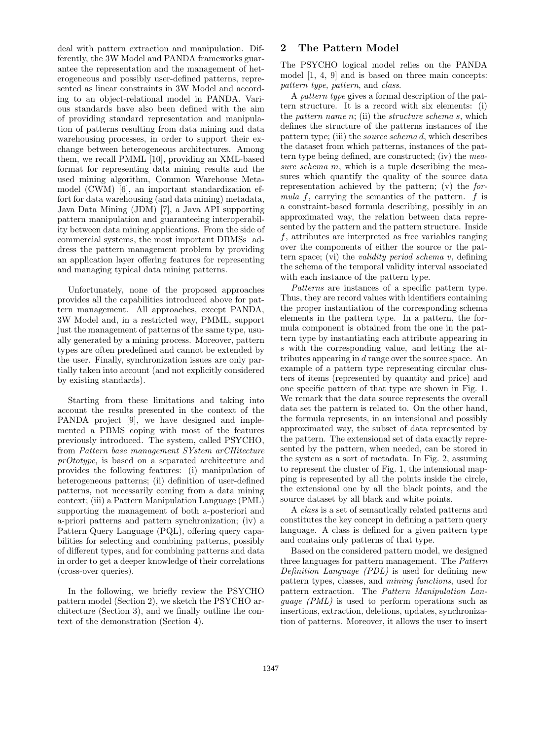deal with pattern extraction and manipulation. Differently, the 3W Model and PANDA frameworks guarantee the representation and the management of heterogeneous and possibly user-defined patterns, represented as linear constraints in 3W Model and according to an object-relational model in PANDA. Various standards have also been defined with the aim of providing standard representation and manipulation of patterns resulting from data mining and data warehousing processes, in order to support their exchange between heterogeneous architectures. Among them, we recall PMML [10], providing an XML-based format for representing data mining results and the used mining algorithm, Common Warehouse Metamodel (CWM) [6], an important standardization effort for data warehousing (and data mining) metadata, Java Data Mining (JDM) [7], a Java API supporting pattern manipulation and guaranteeing interoperability between data mining applications. From the side of commercial systems, the most important DBMSs address the pattern management problem by providing an application layer offering features for representing and managing typical data mining patterns.

Unfortunately, none of the proposed approaches provides all the capabilities introduced above for pattern management. All approaches, except PANDA, 3W Model and, in a restricted way, PMML, support just the management of patterns of the same type, usually generated by a mining process. Moreover, pattern types are often predefined and cannot be extended by the user. Finally, synchronization issues are only partially taken into account (and not explicitly considered by existing standards).

Starting from these limitations and taking into account the results presented in the context of the PANDA project [9], we have designed and implemented a PBMS coping with most of the features previously introduced. The system, called PSYCHO, from *Pattern base management SYstem arCHitecture prOtotype*, is based on a separated architecture and provides the following features: (i) manipulation of heterogeneous patterns; (ii) definition of user-defined patterns, not necessarily coming from a data mining context; (iii) a Pattern Manipulation Language (PML) supporting the management of both a-posteriori and a-priori patterns and pattern synchronization; (iv) a Pattern Query Language (PQL), offering query capabilities for selecting and combining patterns, possibly of different types, and for combining patterns and data in order to get a deeper knowledge of their correlations (cross-over queries).

In the following, we briefly review the PSYCHO pattern model (Section 2), we sketch the PSYCHO architecture (Section 3), and we finally outline the context of the demonstration (Section 4).

## **2 The Pattern Model**

The PSYCHO logical model relies on the PANDA model [1, 4, 9] and is based on three main concepts: *pattern type*, *pattern*, and *class*.

A *pattern type* gives a formal description of the pattern structure. It is a record with six elements: (i) the *pattern name n*; (ii) the *structure schema s*, which defines the structure of the patterns instances of the pattern type; (iii) the *source schema d*, which describes the dataset from which patterns, instances of the pattern type being defined, are constructed; (iv) the *measure schema m*, which is a tuple describing the measures which quantify the quality of the source data representation achieved by the pattern; (v) the *formula f*, carrying the semantics of the pattern. *f* is a constraint-based formula describing, possibly in an approximated way, the relation between data represented by the pattern and the pattern structure. Inside *f*, attributes are interpreted as free variables ranging over the components of either the source or the pattern space; (vi) the *validity period schema v*, defining the schema of the temporal validity interval associated with each instance of the pattern type.

*Patterns* are instances of a specific pattern type. Thus, they are record values with identifiers containing the proper instantiation of the corresponding schema elements in the pattern type. In a pattern, the formula component is obtained from the one in the pattern type by instantiating each attribute appearing in *s* with the corresponding value, and letting the attributes appearing in *d* range over the source space. An example of a pattern type representing circular clusters of items (represented by quantity and price) and one specific pattern of that type are shown in Fig. 1. We remark that the data source represents the overall data set the pattern is related to. On the other hand, the formula represents, in an intensional and possibly approximated way, the subset of data represented by the pattern. The extensional set of data exactly represented by the pattern, when needed, can be stored in the system as a sort of metadata. In Fig. 2, assuming to represent the cluster of Fig. 1, the intensional mapping is represented by all the points inside the circle, the extensional one by all the black points, and the source dataset by all black and white points.

A *class* is a set of semantically related patterns and constitutes the key concept in defining a pattern query language. A class is defined for a given pattern type and contains only patterns of that type.

Based on the considered pattern model, we designed three languages for pattern management. The *Pattern Definition Language (PDL)* is used for defining new pattern types, classes, and *mining functions*, used for pattern extraction. The *Pattern Manipulation Language (PML)* is used to perform operations such as insertions, extraction, deletions, updates, synchronization of patterns. Moreover, it allows the user to insert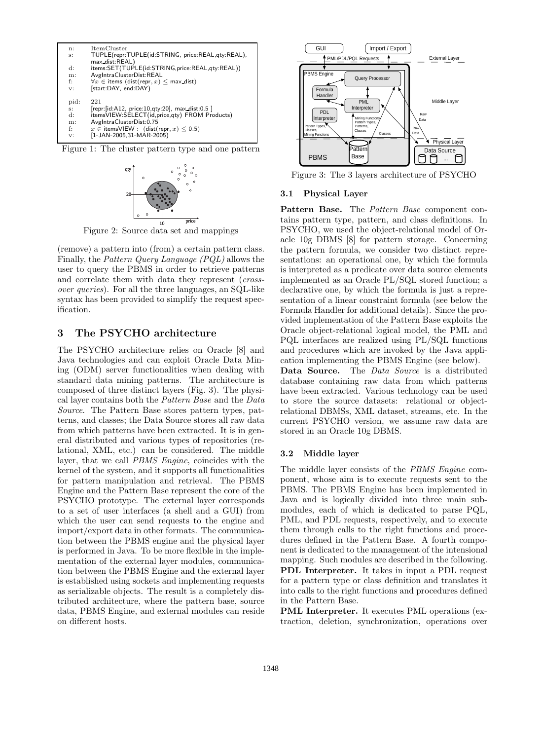

Figure 1: The cluster pattern type and one pattern



Figure 2: Source data set and mappings

(remove) a pattern into (from) a certain pattern class. Finally, the *Pattern Query Language (PQL)* allows the user to query the PBMS in order to retrieve patterns and correlate them with data they represent (*crossover queries*). For all the three languages, an SQL-like syntax has been provided to simplify the request specification.

## **3 The PSYCHO architecture**

The PSYCHO architecture relies on Oracle [8] and Java technologies and can exploit Oracle Data Mining (ODM) server functionalities when dealing with standard data mining patterns. The architecture is composed of three distinct layers (Fig. 3). The physical layer contains both the *Pattern Base* and the *Data Source*. The Pattern Base stores pattern types, patterns, and classes; the Data Source stores all raw data from which patterns have been extracted. It is in general distributed and various types of repositories (relational, XML, etc.) can be considered. The middle layer, that we call *PBMS Engine*, coincides with the kernel of the system, and it supports all functionalities for pattern manipulation and retrieval. The PBMS Engine and the Pattern Base represent the core of the PSYCHO prototype. The external layer corresponds to a set of user interfaces (a shell and a GUI) from which the user can send requests to the engine and import/export data in other formats. The communication between the PBMS engine and the physical layer is performed in Java. To be more flexible in the implementation of the external layer modules, communication between the PBMS Engine and the external layer is established using sockets and implementing requests as serializable objects. The result is a completely distributed architecture, where the pattern base, source data, PBMS Engine, and external modules can reside on different hosts.



Figure 3: The 3 layers architecture of PSYCHO

### **3.1 Physical Layer**

**Pattern Base.** The *Pattern Base* component contains pattern type, pattern, and class definitions. In PSYCHO, we used the object-relational model of Oracle 10g DBMS [8] for pattern storage. Concerning the pattern formula, we consider two distinct representations: an operational one, by which the formula is interpreted as a predicate over data source elements implemented as an Oracle PL/SQL stored function; a declarative one, by which the formula is just a representation of a linear constraint formula (see below the Formula Handler for additional details). Since the provided implementation of the Pattern Base exploits the Oracle object-relational logical model, the PML and PQL interfaces are realized using PL/SQL functions and procedures which are invoked by the Java application implementing the PBMS Engine (see below).

**Data Source.** The *Data Source* is a distributed database containing raw data from which patterns have been extracted. Various technology can be used to store the source datasets: relational or objectrelational DBMSs, XML dataset, streams, etc. In the current PSYCHO version, we assume raw data are stored in an Oracle 10g DBMS.

#### **3.2 Middle layer**

The middle layer consists of the *PBMS Engine* component, whose aim is to execute requests sent to the PBMS. The PBMS Engine has been implemented in Java and is logically divided into three main submodules, each of which is dedicated to parse PQL, PML, and PDL requests, respectively, and to execute them through calls to the right functions and procedures defined in the Pattern Base. A fourth component is dedicated to the management of the intensional mapping. Such modules are described in the following. **PDL Interpreter.** It takes in input a PDL request for a pattern type or class definition and translates it into calls to the right functions and procedures defined in the Pattern Base.

**PML Interpreter.** It executes PML operations (extraction, deletion, synchronization, operations over